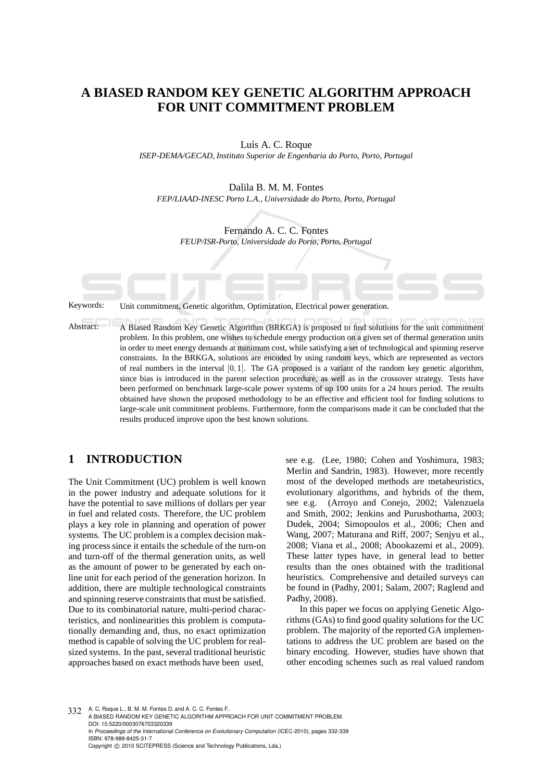# **A BIASED RANDOM KEY GENETIC ALGORITHM APPROACH FOR UNIT COMMITMENT PROBLEM**

Luís A. C. Roque

*ISEP-DEMA/GECAD, Instituto Superior de Engenharia do Porto, Porto, Portugal*

Dalila B. M. M. Fontes *FEP/LIAAD-INESC Porto L.A., Universidade do Porto, Porto, Portugal*

> Fernando A. C. C. Fontes *FEUP/ISR-Porto, Universidade do Porto, Porto, Portugal*

Keywords: Unit commitment, Genetic algorithm, Optimization, Electrical power generation.

Abstract: A Biased Random Key Genetic Algorithm (BRKGA) is proposed to find solutions for the unit commitment problem. In this problem, one wishes to schedule energy production on a given set of thermal generation units in order to meet energy demands at minimum cost, while satisfying a set of technological and spinning reserve constraints. In the BRKGA, solutions are encoded by using random keys, which are represented as vectors of real numbers in the interval  $[0,1]$ . The GA proposed is a variant of the random key genetic algorithm, since bias is introduced in the parent selection procedure, as well as in the crossover strategy. Tests have been performed on benchmark large-scale power systems of up 100 units for a 24 hours period. The results obtained have shown the proposed methodology to be an effective and efficient tool for finding solutions to large-scale unit commitment problems. Furthermore, form the comparisons made it can be concluded that the results produced improve upon the best known solutions.

## **1 INTRODUCTION**

The Unit Commitment (UC) problem is well known in the power industry and adequate solutions for it have the potential to save millions of dollars per year in fuel and related costs. Therefore, the UC problem plays a key role in planning and operation of power systems. The UC problem is a complex decision making process since it entails the schedule of the turn-on and turn-off of the thermal generation units, as well as the amount of power to be generated by each online unit for each period of the generation horizon. In addition, there are multiple technological constraints and spinning reserve constraints that must be satisfied. Due to its combinatorial nature, multi-period characteristics, and nonlinearities this problem is computationally demanding and, thus, no exact optimization method is capable of solving the UC problem for realsized systems. In the past, several traditional heuristic approaches based on exact methods have been used,

see e.g. (Lee, 1980; Cohen and Yoshimura, 1983; Merlin and Sandrin, 1983). However, more recently most of the developed methods are metaheuristics, evolutionary algorithms, and hybrids of the them, see e.g. (Arroyo and Conejo, 2002; Valenzuela and Smith, 2002; Jenkins and Purushothama, 2003; Dudek, 2004; Simopoulos et al., 2006; Chen and Wang, 2007; Maturana and Riff, 2007; Senjyu et al., 2008; Viana et al., 2008; Abookazemi et al., 2009). These latter types have, in general lead to better results than the ones obtained with the traditional heuristics. Comprehensive and detailed surveys can be found in (Padhy, 2001; Salam, 2007; Raglend and Padhy, 2008).

In this paper we focus on applying Genetic Algorithms (GAs) to find good quality solutions for the UC problem. The majority of the reported GA implementations to address the UC problem are based on the binary encoding. However, studies have shown that other encoding schemes such as real valued random

332 A. C. Roque L., B. M. M. Fontes D. and A. C. C. Fontes F.. A BIASED RANDOM KEY GENETIC ALGORITHM APPROACH FOR UNIT COMMITMENT PROBLEM. DOI: 10.5220/0003076703320339 In *Proceedings of the International Conference on Evolutionary Computation* (ICEC-2010), pages 332-339 ISBN: 978-989-8425-31-7 Copyright © 2010 SCITEPRESS (Science and Technology Publications, Lda.)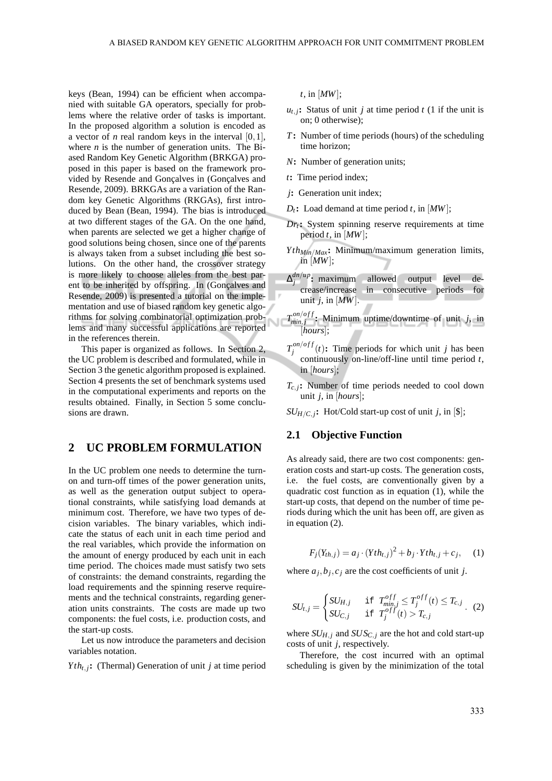keys (Bean, 1994) can be efficient when accompanied with suitable GA operators, specially for problems where the relative order of tasks is important. In the proposed algorithm a solution is encoded as a vector of *n* real random keys in the interval  $[0,1]$ , where  $n$  is the number of generation units. The Biased Random Key Genetic Algorithm (BRKGA) proposed in this paper is based on the framework provided by Resende and Goncalves in (Goncalves and Resende, 2009). BRKGAs are a variation of the Random key Genetic Algorithms (RKGAs), first introduced by Bean (Bean, 1994). The bias is introduced at two different stages of the GA. On the one hand, when parents are selected we get a higher change of good solutions being chosen, since one of the parents is always taken from a subset including the best solutions. On the other hand, the crossover strategy is more likely to choose alleles from the best parent to be inherited by offspring. In (Gonçalves and Resende, 2009) is presented a tutorial on the implementation and use of biased random key genetic algorithms for solving combinatorial optimization problems and many successful applications are reported in the references therein.

This paper is organized as follows. In Section 2, the UC problem is described and formulated, while in Section 3 the genetic algorithm proposed is explained. Section 4 presents the set of benchmark systems used in the computational experiments and reports on the results obtained. Finally, in Section 5 some conclusions are drawn.

## **2 UC PROBLEM FORMULATION**

In the UC problem one needs to determine the turnon and turn-off times of the power generation units, as well as the generation output subject to operational constraints, while satisfying load demands at minimum cost. Therefore, we have two types of decision variables. The binary variables, which indicate the status of each unit in each time period and the real variables, which provide the information on the amount of energy produced by each unit in each time period. The choices made must satisfy two sets of constraints: the demand constraints, regarding the load requirements and the spinning reserve requirements and the technical constraints, regarding generation units constraints. The costs are made up two components: the fuel costs, i.e. production costs, and the start-up costs.

Let us now introduce the parameters and decision variables notation.

*Yth*<sub>t, *j*</sub>**:** (Thermal) Generation of unit *j* at time period

*t*, in [*MW*];

- $u_t$  *j***:** Status of unit *j* at time period *t* (1 if the unit is on; 0 otherwise);
- *T***:** Number of time periods (hours) of the scheduling time horizon;
- *N***:** Number of generation units;
- *t***:** Time period index;
- *j***:** Generation unit index;
- $D_t$ **:** Load demand at time period *t*, in [*MW*];
- *Drt***:** System spinning reserve requirements at time period *t*, in [*MW*];
- *YthMin*/*Max***:** Minimum/maximum generation limits, in [*MW*];
- $\Delta_j^{dn/up}$ : maximum allowed output level decrease/increase in consecutive periods for unit  $j$ , in  $[MW]$ .
- $T_{min}^{on/off}$  $\sum_{\text{min},j}^{\text{on}/\text{off}}$ : Minimum uptime/downtime of unit *j*, in [*hours*];
- $T_j^{on/off}(t)$ : Time periods for which unit *j* has been continuously on-line/off-line until time period *t*, in [*hours*];
- $T_{c,i}$ : Number of time periods needed to cool down unit *j*, in [*hours*];
- *SU*<sub>*H*/*C*,*j*</sub>**:** Hot/Cold start-up cost of unit *j*, in [\$];

#### **2.1 Objective Function**

As already said, there are two cost components: generation costs and start-up costs. The generation costs, i.e. the fuel costs, are conventionally given by a quadratic cost function as in equation (1), while the start-up costs, that depend on the number of time periods during which the unit has been off, are given as in equation (2).

$$
F_j(Y_{th,j}) = a_j \cdot (Yth_{t,j})^2 + b_j \cdot Yth_{t,j} + c_j, \quad (1)
$$

where  $a_j, b_j, c_j$  are the cost coefficients of unit *j*.

$$
SU_{t,j} = \begin{cases} SU_{H,j} & \text{if } T_{min,j}^{off} \le T_j^{off}(t) \le T_{c,j} \\ SU_{C,j} & \text{if } T_j^{off}(t) > T_{c,j} \end{cases} \tag{2}
$$

where  $SU_{H,j}$  and  $SUS_{C,j}$  are the hot and cold start-up costs of unit *j*, respectively.

Therefore, the cost incurred with an optimal scheduling is given by the minimization of the total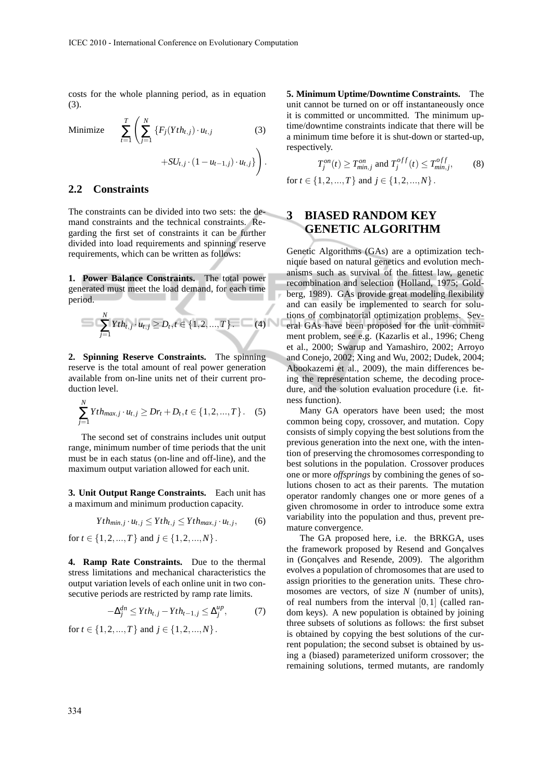costs for the whole planning period, as in equation (3).

Minimize 
$$
\sum_{t=1}^{T} \left( \sum_{j=1}^{N} \left\{ F_j(Yth_{t,j}) \cdot u_{t,j} \right\} + SU_{t,j} \cdot (1 - u_{t-1,j}) \cdot u_{t,j} \right\} \right).
$$
 (3)

#### **2.2 Constraints**

*N*

The constraints can be divided into two sets: the demand constraints and the technical constraints. Regarding the first set of constraints it can be further divided into load requirements and spinning reserve requirements, which can be written as follows:

**1. Power Balance Constraints.** The total power generated must meet the load demand, for each time period.

$$
\sum_{j=1}^N Yth_{t,j} \cdot u_{t,j} \ge D_t, t \in \{1,2,...,T\}. \tag{4}
$$

**2. Spinning Reserve Constraints.** The spinning reserve is the total amount of real power generation available from on-line units net of their current production level.

$$
\sum_{j=1}^{N} Yth_{max,j} \cdot u_{t,j} \ge Dr_t + D_t, t \in \{1, 2, ..., T\}.
$$
 (5)

The second set of constrains includes unit output range, minimum number of time periods that the unit must be in each status (on-line and off-line), and the maximum output variation allowed for each unit.

**3. Unit Output Range Constraints.** Each unit has a maximum and minimum production capacity.

$$
Yth_{min,j} \cdot u_{t,j} \leq Yth_{t,j} \leq Yth_{max,j} \cdot u_{t,j},
$$
 (6)

for  $t \in \{1, 2, ..., T\}$  and  $j \in \{1, 2, ..., N\}$ .

**4. Ramp Rate Constraints.** Due to the thermal stress limitations and mechanical characteristics the output variation levels of each online unit in two consecutive periods are restricted by ramp rate limits.

$$
-\Delta_j^{dn} \le Yth_{t,j} - Yth_{t-1,j} \le \Delta_j^{up},\tag{7}
$$

for  $t \in \{1, 2, ..., T\}$  and  $j \in \{1, 2, ..., N\}$ .

**5. Minimum Uptime/Downtime Constraints.** The unit cannot be turned on or off instantaneously once it is committed or uncommitted. The minimum uptime/downtime constraints indicate that there will be a minimum time before it is shut-down or started-up, respectively.

$$
T_j^{on}(t) \ge T_{min,j}^{on} \text{ and } T_j^{off}(t) \le T_{min,j}^{off}, \qquad (8)
$$
  
for  $t \in \{1, 2, ..., T\}$  and  $j \in \{1, 2, ..., N\}.$ 

## **3 BIASED RANDOM KEY GENETIC ALGORITHM**

Genetic Algorithms (GAs) are a optimization technique based on natural genetics and evolution mechanisms such as survival of the fittest law, genetic recombination and selection (Holland, 1975; Goldberg, 1989). GAs provide great modeling flexibility and can easily be implemented to search for solutions of combinatorial optimization problems. Several GAs have been proposed for the unit commitment problem, see e.g. (Kazarlis et al., 1996; Cheng et al., 2000; Swarup and Yamashiro, 2002; Arroyo and Conejo, 2002; Xing and Wu, 2002; Dudek, 2004; Abookazemi et al., 2009), the main differences being the representation scheme, the decoding procedure, and the solution evaluation procedure (i.e. fitness function).

Many GA operators have been used; the most common being copy, crossover, and mutation. Copy consists of simply copying the best solutions from the previous generation into the next one, with the intention of preserving the chromosomes corresponding to best solutions in the population. Crossover produces one or more *offsprings* by combining the genes of solutions chosen to act as their parents. The mutation operator randomly changes one or more genes of a given chromosome in order to introduce some extra variability into the population and thus, prevent premature convergence.

The GA proposed here, i.e. the BRKGA, uses the framework proposed by Resend and Gonçalves in (Goncalves and Resende, 2009). The algorithm evolves a population of chromosomes that are used to assign priorities to the generation units. These chromosomes are vectors, of size *N* (number of units), of real numbers from the interval  $[0,1]$  (called random keys). A new population is obtained by joining three subsets of solutions as follows: the first subset is obtained by copying the best solutions of the current population; the second subset is obtained by using a (biased) parameterized uniform crossover; the remaining solutions, termed mutants, are randomly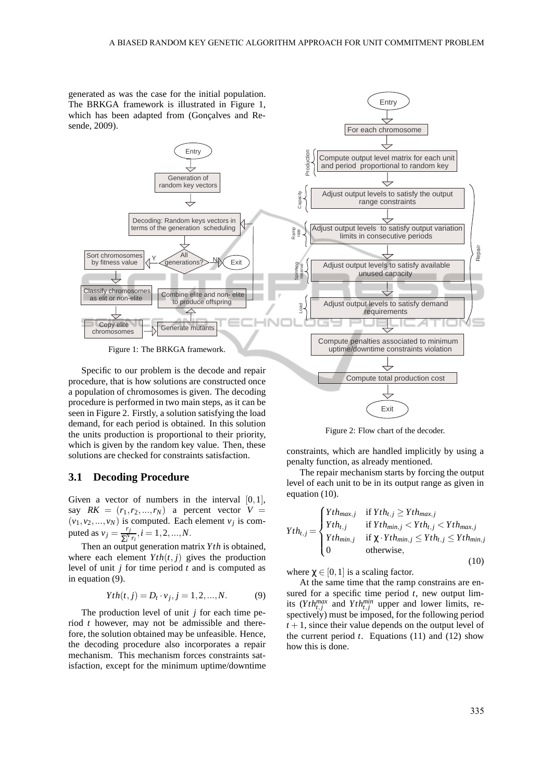generated as was the case for the initial population. The BRKGA framework is illustrated in Figure 1, which has been adapted from (Gonçalves and Resende, 2009).



Specific to our problem is the decode and repair procedure, that is how solutions are constructed once a population of chromosomes is given. The decoding procedure is performed in two main steps, as it can be seen in Figure 2. Firstly, a solution satisfying the load demand, for each period is obtained. In this solution the units production is proportional to their priority, which is given by the random key value. Then, these solutions are checked for constraints satisfaction.

#### **3.1 Decoding Procedure**

Given a vector of numbers in the interval  $[0,1]$ , say  $RK = (r_1, r_2, ..., r_N)$  a percent vector  $V =$  $(v_1, v_2, \ldots, v_N)$  is computed. Each element  $v_j$  is computed as  $v_j = \frac{r_j}{\sqrt{N}}$  $\frac{r_j}{\sum_i^N r_i}, i = 1, 2, ..., N.$ 

Then an output generation matrix *Yth* is obtained, where each element  $Yth(t, j)$  gives the production level of unit *j* for time period *t* and is computed as in equation (9).

$$
Yth(t, j) = D_t \cdot v_j, j = 1, 2, ..., N.
$$
 (9)

The production level of unit *j* for each time period *t* however, may not be admissible and therefore, the solution obtained may be unfeasible. Hence, the decoding procedure also incorporates a repair mechanism. This mechanism forces constraints satisfaction, except for the minimum uptime/downtime



Compute total production cost

**Entry** 

penalty function, as already mentioned. The repair mechanism starts by forcing the output level of each unit to be in its output range as given in equation (10).

$$
Yth_{i,j} = \begin{cases} Yth_{max,j} & \text{if } Yth_{i,j} \ge Yth_{max,j} \\ Yth_{i,j} & \text{if } Yth_{min,j} < Yth_{i,j} < Yth_{max,j} \\ Yth_{min,j} & \text{if } \chi \cdot Yth_{min,j} \le Yth_{i,j} \le Yth_{min,j} \\ 0 & \text{otherwise,} \end{cases} \tag{10}
$$

where  $\chi \in [0,1]$  is a scaling factor.

At the same time that the ramp constrains are ensured for a specific time period *t*, new output limits  $(Yth_{t,j}^{max}$  and  $Yth_{t,j}^{min}$  upper and lower limits, respectively) must be imposed, for the following period  $t + 1$ , since their value depends on the output level of the current period  $t$ . Equations (11) and (12) show how this is done.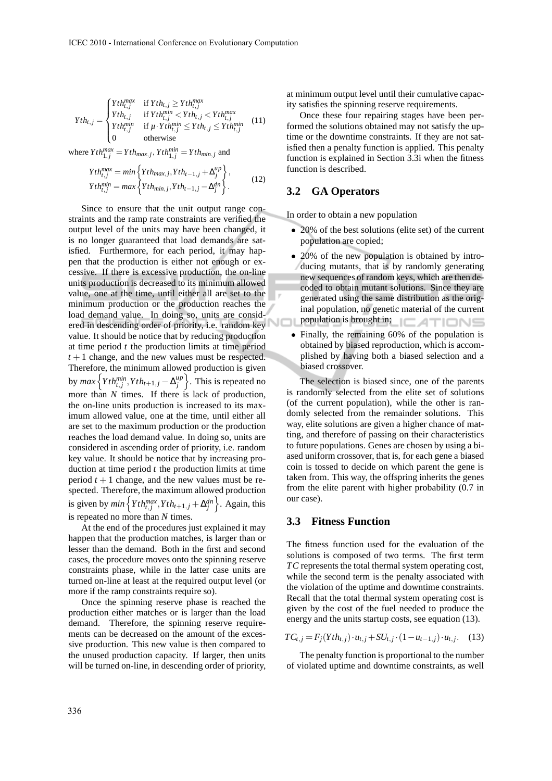$$
Yth_{t,j} = \begin{cases} Yth_{t,j}^{max} & \text{if } Yth_{t,j} \ge Yth_{t,j}^{max} \\ Yth_{t,j} & \text{if } Yth_{t,j}^{min} < Yth_{t,j} < Yth_{t,j}^{max} \\ Yth_{t,j}^{min} & \text{if } \mu \cdot Yth_{t,j}^{min} \le Yth_{t,j} \le Yth_{t,j}^{min} \\ 0 & \text{otherwise} \end{cases} \tag{11}
$$

where  $Yth_{1,j}^{max} = Yth_{max,j}$ ,  $Yth_{1,j}^{min} = Yth_{min,j}$  and

$$
Yth_{t,j}^{max} = min\left\{Yth_{max,j}, Yth_{t-1,j} + \Delta_j^{up}\right\},\
$$
  
\n
$$
Yth_{t,j}^{min} = max\left\{Yth_{min,j}, Yth_{t-1,j} - \Delta_j^{dn}\right\}.
$$
 (12)

Since to ensure that the unit output range constraints and the ramp rate constraints are verified the output level of the units may have been changed, it is no longer guaranteed that load demands are satisfied. Furthermore, for each period, it may happen that the production is either not enough or excessive. If there is excessive production, the on-line units production is decreased to its minimum allowed value, one at the time, until either all are set to the minimum production or the production reaches the load demand value. In doing so, units are considered in descending order of priority, i.e. random key value. It should be notice that by reducing production at time period *t* the production limits at time period  $t + 1$  change, and the new values must be respected. Therefore, the minimum allowed production is given by  $max\left\{Yth_{t,j}^{min}, Yth_{t+1,j} - \Delta_j^{up}\right\}$ . This is repeated no more than *N* times. If there is lack of production, the on-line units production is increased to its maximum allowed value, one at the time, until either all are set to the maximum production or the production reaches the load demand value. In doing so, units are considered in ascending order of priority, i.e. random key value. It should be notice that by increasing production at time period *t* the production limits at time period  $t + 1$  change, and the new values must be respected. Therefore, the maximum allowed production is given by  $min\left\{Yth_{t,j}^{max}, Yth_{t+1,j} + \Delta_j^{dn}\right\}$ . Again, this is repeated no more than *N* times.

At the end of the procedures just explained it may happen that the production matches, is larger than or lesser than the demand. Both in the first and second cases, the procedure moves onto the spinning reserve constraints phase, while in the latter case units are turned on-line at least at the required output level (or more if the ramp constraints require so).

Once the spinning reserve phase is reached the production either matches or is larger than the load demand. Therefore, the spinning reserve requirements can be decreased on the amount of the excessive production. This new value is then compared to the unused production capacity. If larger, then units will be turned on-line, in descending order of priority, at minimum output level until their cumulative capacity satisfies the spinning reserve requirements.

Once these four repairing stages have been performed the solutions obtained may not satisfy the uptime or the downtime constraints. If they are not satisfied then a penalty function is applied. This penalty function is explained in Section 3.3i when the fitness function is described.

#### **3.2 GA Operators**

In order to obtain a new population

- 20% of the best solutions (elite set) of the current population are copied;
- 20% of the new population is obtained by introducing mutants, that is by randomly generating new sequences of random keys, which are then decoded to obtain mutant solutions. Since they are generated using the same distribution as the original population, no genetic material of the current population is brought in; ICATIONS
- Finally, the remaining 60% of the population is obtained by biased reproduction, which is accomplished by having both a biased selection and a biased crossover.

The selection is biased since, one of the parents is randomly selected from the elite set of solutions (of the current population), while the other is randomly selected from the remainder solutions. This way, elite solutions are given a higher chance of matting, and therefore of passing on their characteristics to future populations. Genes are chosen by using a biased uniform crossover, that is, for each gene a biased coin is tossed to decide on which parent the gene is taken from. This way, the offspring inherits the genes from the elite parent with higher probability (0.7 in our case).

#### **3.3 Fitness Function**

The fitness function used for the evaluation of the solutions is composed of two terms. The first term *TC* represents the total thermal system operating cost, while the second term is the penalty associated with the violation of the uptime and downtime constraints. Recall that the total thermal system operating cost is given by the cost of the fuel needed to produce the energy and the units startup costs, see equation (13).

$$
TC_{t,j} = F_j(Yth_{t,j}) \cdot u_{t,j} + SU_{t,j} \cdot (1 - u_{t-1,j}) \cdot u_{t,j}. \quad (13)
$$

The penalty function is proportional to the number of violated uptime and downtime constraints, as well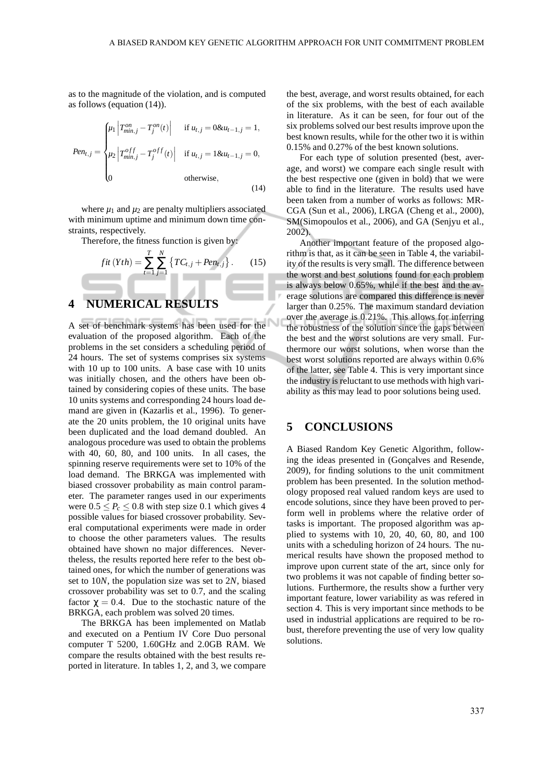as to the magnitude of the violation, and is computed as follows (equation (14)).

$$
Pen_{t,j} = \begin{cases} \mu_1 \left| T_{min,j}^{on} - T_j^{on}(t) \right| & \text{if } u_{t,j} = 0 \& u_{t-1,j} = 1, \\ \mu_2 \left| T_{min,j}^{off} - T_j^{off}(t) \right| & \text{if } u_{t,j} = 1 \& u_{t-1,j} = 0, \\ 0 & \text{otherwise,} \end{cases}
$$
(14)

where  $\mu_1$  and  $\mu_2$  are penalty multipliers associated with minimum uptime and minimum down time constraints, respectively.

Therefore, the fitness function is given by:

$$
fit(Yth) = \sum_{t=1}^{T} \sum_{j=1}^{N} \{TC_{t,j} + Pen_{t,j}\}.
$$
 (15)

## **4 NUMERICAL RESULTS**

A set of benchmark systems has been used for the evaluation of the proposed algorithm. Each of the problems in the set considers a scheduling period of 24 hours. The set of systems comprises six systems with 10 up to 100 units. A base case with 10 units was initially chosen, and the others have been obtained by considering copies of these units. The base 10 units systems and corresponding 24 hours load demand are given in (Kazarlis et al., 1996). To generate the 20 units problem, the 10 original units have been duplicated and the load demand doubled. An analogous procedure was used to obtain the problems with 40, 60, 80, and 100 units. In all cases, the spinning reserve requirements were set to 10% of the load demand. The BRKGA was implemented with biased crossover probability as main control parameter. The parameter ranges used in our experiments were  $0.5 \le P_c \le 0.8$  with step size 0.1 which gives 4 possible values for biased crossover probability. Several computational experiments were made in order to choose the other parameters values. The results obtained have shown no major differences. Nevertheless, the results reported here refer to the best obtained ones, for which the number of generations was set to 10*N*, the population size was set to 2*N*, biased crossover probability was set to 0.7, and the scaling factor  $\chi = 0.4$ . Due to the stochastic nature of the BRKGA, each problem was solved 20 times.

The BRKGA has been implemented on Matlab and executed on a Pentium IV Core Duo personal computer T 5200, 1.60GHz and 2.0GB RAM. We compare the results obtained with the best results reported in literature. In tables 1, 2, and 3, we compare the best, average, and worst results obtained, for each of the six problems, with the best of each available in literature. As it can be seen, for four out of the six problems solved our best results improve upon the best known results, while for the other two it is within 0.15% and 0.27% of the best known solutions.

For each type of solution presented (best, average, and worst) we compare each single result with the best respective one (given in bold) that we were able to find in the literature. The results used have been taken from a number of works as follows: MR-CGA (Sun et al., 2006), LRGA (Cheng et al., 2000), SM(Simopoulos et al., 2006), and GA (Senjyu et al., 2002).

Another important feature of the proposed algorithm is that, as it can be seen in Table 4, the variability of the results is very small. The difference between the worst and best solutions found for each problem is always below 0.65%, while if the best and the average solutions are compared this difference is never larger than 0.25%. The maximum standard deviation over the average is 0.21%. This allows for inferring the robustness of the solution since the gaps between the best and the worst solutions are very small. Furthermore our worst solutions, when worse than the best worst solutions reported are always within 0.6% of the latter, see Table 4. This is very important since the industry is reluctant to use methods with high variability as this may lead to poor solutions being used.

#### **5 CONCLUSIONS**

A Biased Random Key Genetic Algorithm, following the ideas presented in (Gonçalves and Resende, 2009), for finding solutions to the unit commitment problem has been presented. In the solution methodology proposed real valued random keys are used to encode solutions, since they have been proved to perform well in problems where the relative order of tasks is important. The proposed algorithm was applied to systems with 10, 20, 40, 60, 80, and 100 units with a scheduling horizon of 24 hours. The numerical results have shown the proposed method to improve upon current state of the art, since only for two problems it was not capable of finding better solutions. Furthermore, the results show a further very important feature, lower variability as was refered in section 4. This is very important since methods to be used in industrial applications are required to be robust, therefore preventing the use of very low quality solutions.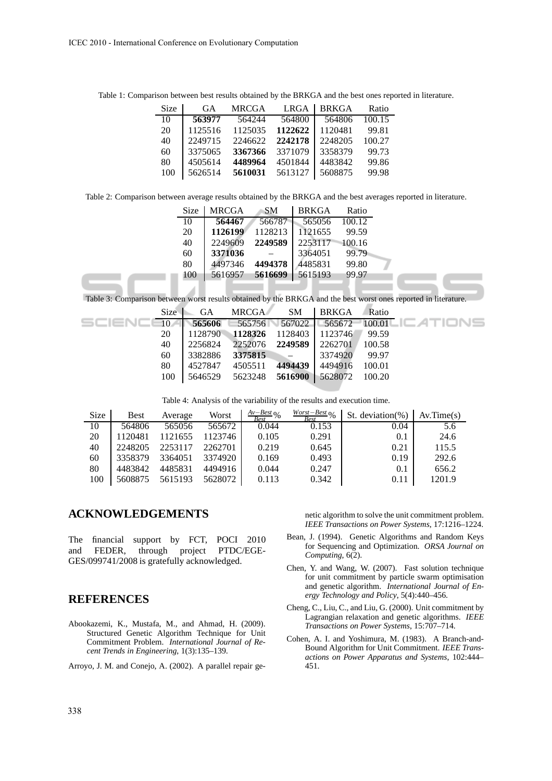| <b>Size</b> | GA      | MRCGA   | LRGA    | <b>BRKGA</b> | Ratio  |
|-------------|---------|---------|---------|--------------|--------|
| 10          | 563977  | 564244  | 564800  | 564806       | 100.15 |
| 20          | 1125516 | 1125035 | 1122622 | 1120481      | 99.81  |
| 40          | 2249715 | 2246622 | 2242178 | 2248205      | 100.27 |
| 60          | 3375065 | 3367366 | 3371079 | 3358379      | 99.73  |
| 80          | 4505614 | 4489964 | 4501844 | 4483842      | 99.86  |
| 100         | 5626514 | 5610031 | 5613127 | 5608875      | 99.98  |

Table 1: Comparison between best results obtained by the BRKGA and the best ones reported in literature.

Table 2: Comparison between average results obtained by the BRKGA and the best averages reported in literature.

| <b>Size</b> | MRCGA   | <b>SM</b> | <b>BRKGA</b> | Ratio  |  |
|-------------|---------|-----------|--------------|--------|--|
| 10          | 564467  | 566787    | 565056       | 100.12 |  |
| 20          | 1126199 | 1128213   | 1121655      | 99.59  |  |
| 40          | 2249609 | 2249589   | 2253117      | 100.16 |  |
| 60          | 3371036 |           | 3364051      | 99.79  |  |
| 80          | 4497346 | 4494378   | 4485831      | 99.80  |  |
| 100         | 5616957 | 5616699   | 5615193      | 99.97  |  |
|             |         |           |              |        |  |

Table 3: Comparison between worst results obtained by the BRKGA and the best worst ones reported in literature.

|     | Size GA MRCGA SM BRKGA Ratio                   |  |                                                                  |
|-----|------------------------------------------------|--|------------------------------------------------------------------|
|     |                                                |  | $5 \text{C}$ IENCE10 565606 565756 567022 565672 100.01LICATIONS |
|     | 20   1128790 1128326 1128403   1123746 99.59   |  |                                                                  |
| 40  | $\mid$ 2256824 2252076 2249589 2262701 100.58  |  |                                                                  |
| 60  |                                                |  |                                                                  |
| 80  | $\vert$ 4527847 4505511 4494439 4494916 100.01 |  |                                                                  |
| 100 | 5646529 5623248 5616900 5628072 100.20         |  |                                                                  |
|     |                                                |  |                                                                  |

|  |  | Table 4: Analysis of the variability of the results and execution time. |
|--|--|-------------------------------------------------------------------------|
|--|--|-------------------------------------------------------------------------|

| <b>Size</b> | <b>Best</b> | Average | Worst   | $\frac{Av-Best}{2}$ %<br><b>Rest</b> | $Worst-Best$ <sub>0</sub><br><b>Rest</b> | St. deviation(%) $\vert$ | Av. Time(s) |
|-------------|-------------|---------|---------|--------------------------------------|------------------------------------------|--------------------------|-------------|
| 10          | 564806      | 565056  | 565672  | 0.044                                | 0.153                                    | 0.04                     | 5.6         |
| 20          | 1120481     | 1121655 | 1123746 | 0.105                                | 0.291                                    | 0.1                      | 24.6        |
| 40          | 2248205     | 2253117 | 2262701 | 0.219                                | 0.645                                    | 0.21                     | 115.5       |
| 60          | 3358379     | 3364051 | 3374920 | 0.169                                | 0.493                                    | 0.19                     | 292.6       |
| 80          | 4483842     | 4485831 | 4494916 | 0.044                                | 0.247                                    | 0.1                      | 656.2       |
| 100         | 5608875     | 5615193 | 5628072 | 0.113                                | 0.342                                    | 0.11                     | 1201.9      |

## **ACKNOWLEDGEMENTS**

The financial support by FCT, POCI 2010 and FEDER, through project PTDC/EGE-GES/099741/2008 is gratefully acknowledged.

### **REFERENCES**

- Abookazemi, K., Mustafa, M., and Ahmad, H. (2009). Structured Genetic Algorithm Technique for Unit Commitment Problem. *International Journal of Recent Trends in Engineering*, 1(3):135–139.
- Arroyo, J. M. and Conejo, A. (2002). A parallel repair ge-

netic algorithm to solve the unit commitment problem. *IEEE Transactions on Power Systems*, 17:1216–1224.

- Bean, J. (1994). Genetic Algorithms and Random Keys for Sequencing and Optimization. *ORSA Journal on Computing*, 6(2).
- Chen, Y. and Wang, W. (2007). Fast solution technique for unit commitment by particle swarm optimisation and genetic algorithm. *International Journal of Energy Technology and Policy*, 5(4):440–456.
- Cheng, C., Liu, C., and Liu, G. (2000). Unit commitment by Lagrangian relaxation and genetic algorithms. *IEEE Transactions on Power Systems*, 15:707–714.
- Cohen, A. I. and Yoshimura, M. (1983). A Branch-and-Bound Algorithm for Unit Commitment. *IEEE Transactions on Power Apparatus and Systems*, 102:444– 451.